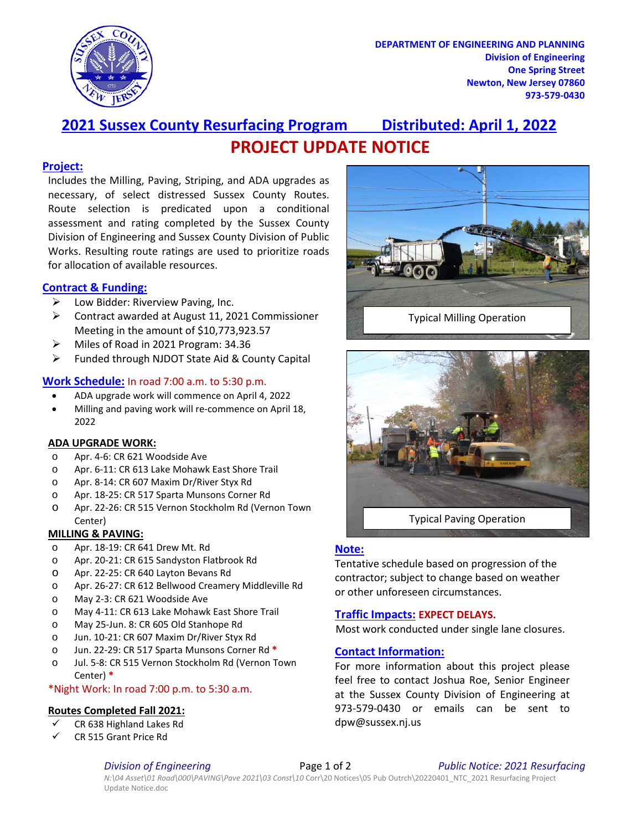

**DEPARTMENT OF ENGINEERING AND PLANNING Division of Engineering One Spring Street Newton, New Jersey 07860 973-579-0430**

# **2021 Sussex County Resurfacing Program Distributed: April 1, 2022 PROJECT UPDATE NOTICE**

#### **Project:**

Includes the Milling, Paving, Striping, and ADA upgrades as necessary, of select distressed Sussex County Routes. Route selection is predicated upon a conditional assessment and rating completed by the Sussex County Division of Engineering and Sussex County Division of Public Works. Resulting route ratings are used to prioritize roads for allocation of available resources.

### **Contract & Funding:**

- $\triangleright$  Low Bidder: Riverview Paving, Inc.
- Contract awarded at August 11, 2021 Commissioner Meeting in the amount of \$10,773,923.57
- > Miles of Road in 2021 Program: 34.36
- $\triangleright$  Funded through NJDOT State Aid & County Capital

### **Work Schedule:** In road 7:00 a.m. to 5:30 p.m.

- ADA upgrade work will commence on April 4, 2022
- Milling and paving work will re-commence on April 18, 2022

#### **ADA UPGRADE WORK:**

- o Apr. 4-6: CR 621 Woodside Ave
- o Apr. 6-11: CR 613 Lake Mohawk East Shore Trail
- o Apr. 8-14: CR 607 Maxim Dr/River Styx Rd
- o Apr. 18-25: CR 517 Sparta Munsons Corner Rd
- o Apr. 22-26: CR 515 Vernon Stockholm Rd (Vernon Town Center)

#### **MILLING & PAVING:**

- o Apr. 18-19: CR 641 Drew Mt. Rd
- o Apr. 20-21: CR 615 Sandyston Flatbrook Rd
- o Apr. 22-25: CR 640 Layton Bevans Rd
- o Apr. 26-27: CR 612 Bellwood Creamery Middleville Rd
- o May 2-3: CR 621 Woodside Ave
- o May 4-11: CR 613 Lake Mohawk East Shore Trail
- o May 25-Jun. 8: CR 605 Old Stanhope Rd
- o Jun. 10-21: CR 607 Maxim Dr/River Styx Rd
- o Jun. 22-29: CR 517 Sparta Munsons Corner Rd **\***
- o Jul. 5-8: CR 515 Vernon Stockholm Rd (Vernon Town Center) **\***
- \*Night Work: In road 7:00 p.m. to 5:30 a.m.

#### **Routes Completed Fall 2021:**

- CR 638 Highland Lakes Rd
- CR 515 Grant Price Rd





Typical Paving Operation

### **Note:**

Tentative schedule based on progression of the contractor; subject to change based on weather or other unforeseen circumstances.

### **Traffic Impacts: EXPECT DELAYS.**

Most work conducted under single lane closures.

### **Contact Information:**

For more information about this project please feel free to contact Joshua Roe, Senior Engineer at the Sussex County Division of Engineering at 973-579-0430 or emails can be sent to dpw@sussex.nj.us

*Division of Engineering* Page 1 of 2 *Public Notice: 2021 Resurfacing*

*N:\04 Asset\01 Road\000\PAVING\Pave 2021\03 Const\10* Corr\20 Notices\05 Pub Outrch\20220401\_NTC\_2021 Resurfacing Project Update Notice.doc